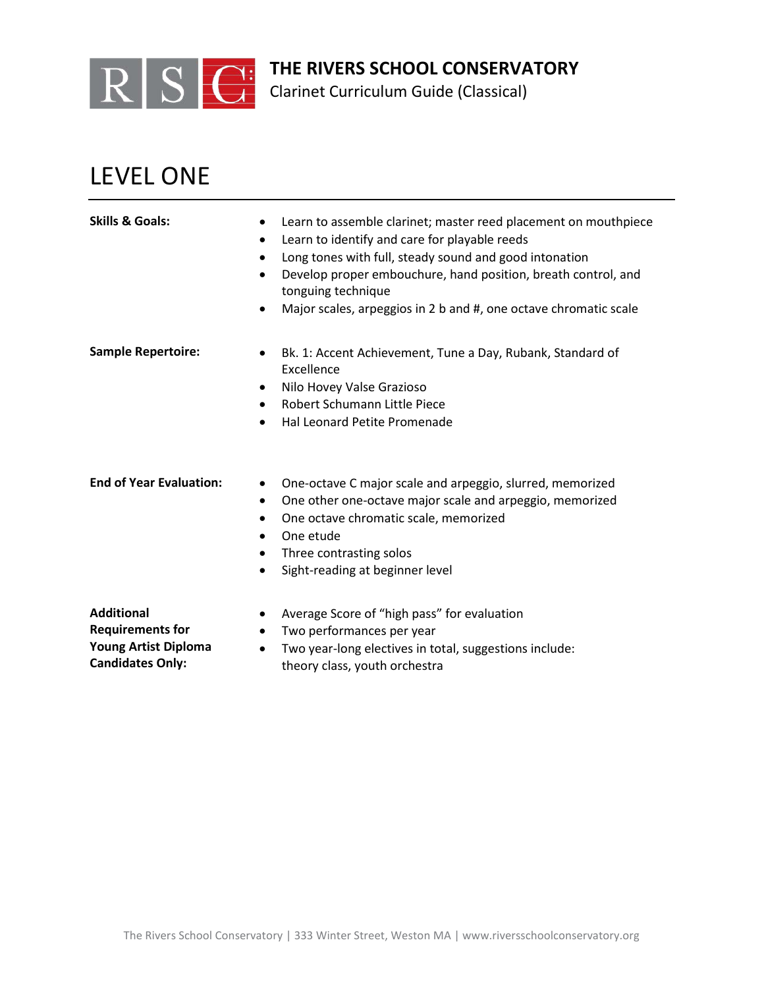

Clarinet Curriculum Guide (Classical)

# LEVEL ONE

| <b>Skills &amp; Goals:</b>                                                  | Learn to assemble clarinet; master reed placement on mouthpiece<br>$\bullet$<br>Learn to identify and care for playable reeds<br>$\bullet$<br>Long tones with full, steady sound and good intonation<br>$\bullet$<br>Develop proper embouchure, hand position, breath control, and<br>$\bullet$<br>tonguing technique<br>Major scales, arpeggios in 2 b and #, one octave chromatic scale<br>٠ |
|-----------------------------------------------------------------------------|------------------------------------------------------------------------------------------------------------------------------------------------------------------------------------------------------------------------------------------------------------------------------------------------------------------------------------------------------------------------------------------------|
| <b>Sample Repertoire:</b>                                                   | Bk. 1: Accent Achievement, Tune a Day, Rubank, Standard of<br>$\bullet$<br>Excellence<br>Nilo Hovey Valse Grazioso<br>$\bullet$<br>Robert Schumann Little Piece<br>$\bullet$<br>Hal Leonard Petite Promenade                                                                                                                                                                                   |
| <b>End of Year Evaluation:</b>                                              | One-octave C major scale and arpeggio, slurred, memorized<br>٠<br>One other one-octave major scale and arpeggio, memorized<br>$\bullet$<br>One octave chromatic scale, memorized<br>$\bullet$<br>One etude<br>$\bullet$<br>Three contrasting solos<br>٠<br>Sight-reading at beginner level<br>$\bullet$                                                                                        |
| <b>Additional</b><br><b>Requirements for</b><br><b>Young Artist Diploma</b> | Average Score of "high pass" for evaluation<br>Two performances per year<br>Two year-long electives in total, suggestions include:                                                                                                                                                                                                                                                             |

**Candidates Only:**

• Two year-long electives in total, suggestions include: theory class, youth orchestra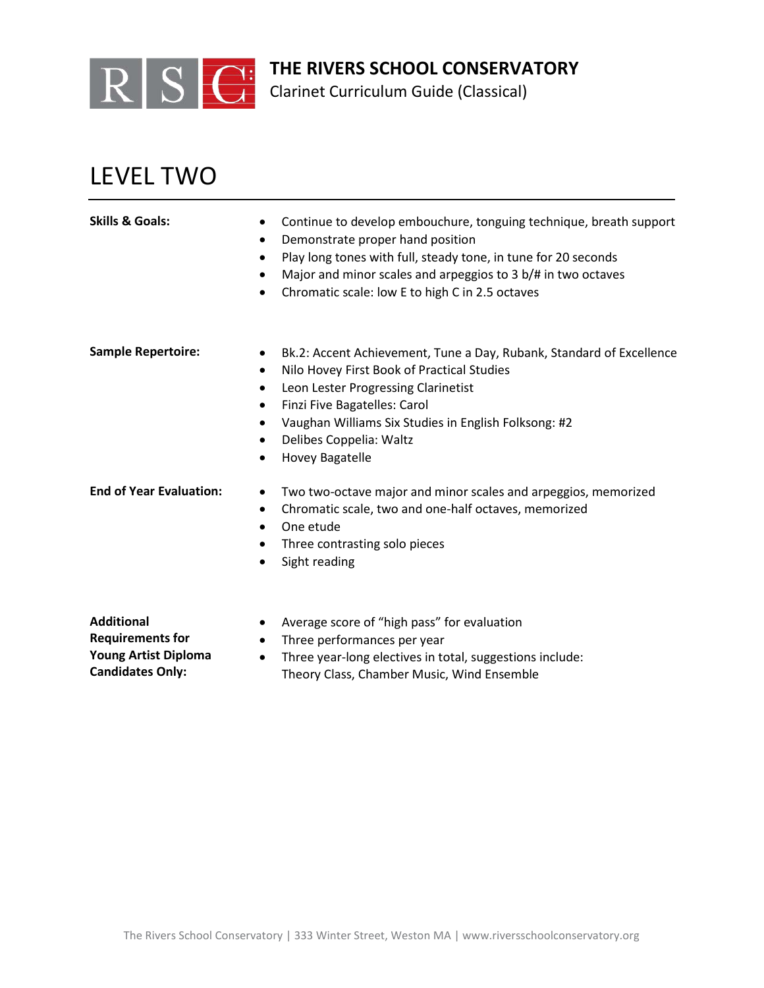

Clarinet Curriculum Guide (Classical)

# LEVEL TWO

| Skills & Goals:                | Continue to develop embouchure, tonguing technique, breath support<br>Demonstrate proper hand position<br>٠<br>Play long tones with full, steady tone, in tune for 20 seconds<br>$\bullet$<br>Major and minor scales and arpeggios to 3 b/# in two octaves<br>Chromatic scale: low E to high C in 2.5 octaves |
|--------------------------------|---------------------------------------------------------------------------------------------------------------------------------------------------------------------------------------------------------------------------------------------------------------------------------------------------------------|
| <b>Sample Repertoire:</b>      | Bk.2: Accent Achievement, Tune a Day, Rubank, Standard of Excellence<br>Nilo Hovey First Book of Practical Studies<br>Leon Lester Progressing Clarinetist<br>$\bullet$<br>Finzi Five Bagatelles: Carol<br>Vaughan Williams Six Studies in English Folksong: #2<br>Delibes Coppelia: Waltz<br>Hovey Bagatelle  |
| <b>End of Year Evaluation:</b> | Two two-octave major and minor scales and arpeggios, memorized<br>Chromatic scale, two and one-half octaves, memorized<br>٠<br>One etude<br>Three contrasting solo pieces<br>Sight reading                                                                                                                    |

**Additional Requirements for Young Artist Diploma Candidates Only:**

- Average score of "high pass" for evaluation
- Three performances per year
- Three year-long electives in total, suggestions include: Theory Class, Chamber Music, Wind Ensemble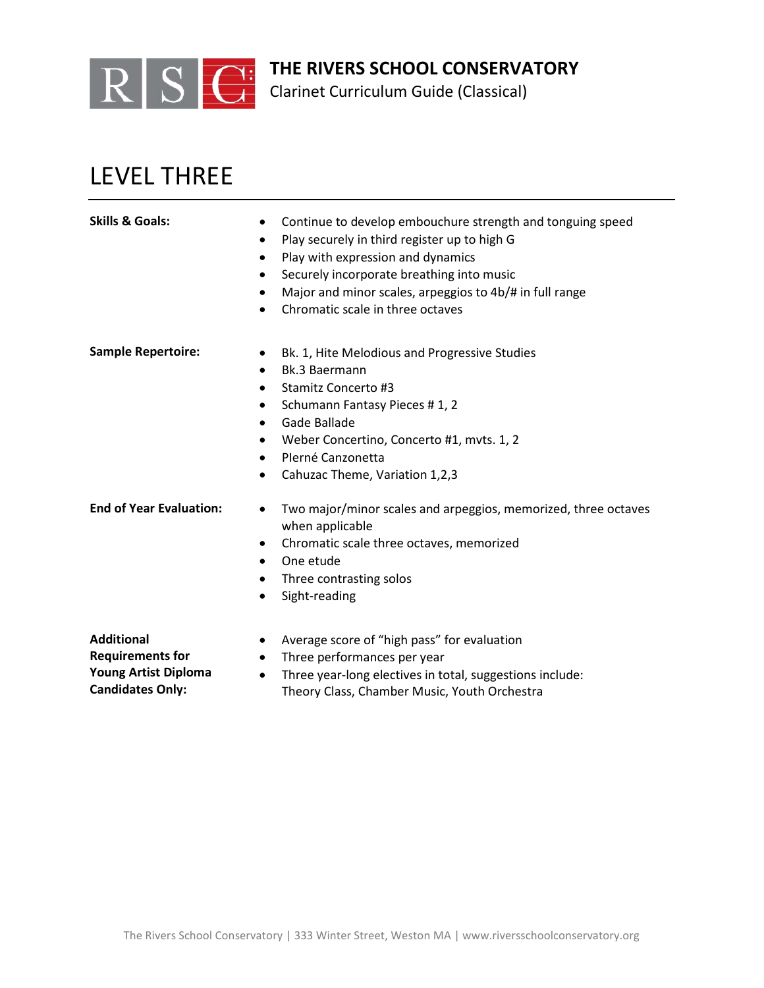

Clarinet Curriculum Guide (Classical)

## LEVEL THREE

- **Skills & Goals:** Continue to develop embouchure strength and tonguing speed
	- Play securely in third register up to high G
	- Play with expression and dynamics
	- Securely incorporate breathing into music
	- Major and minor scales, arpeggios to 4b/# in full range
	- Chromatic scale in three octaves

- **Sample Repertoire:** Bk. 1, Hite Melodious and Progressive Studies
	- Bk.3 Baermann
	- Stamitz Concerto #3
	- Schumann Fantasy Pieces # 1, 2
	- Gade Ballade
	- Weber Concertino, Concerto #1, mvts. 1, 2
	- PIerné Canzonetta
	- Cahuzac Theme, Variation 1,2,3

- **End of Year Evaluation:** Two major/minor scales and arpeggios, memorized, three octaves when applicable
	- Chromatic scale three octaves, memorized
	- One etude
	- Three contrasting solos
	- Sight-reading

**Additional Requirements for Young Artist Diploma Candidates Only:**

- Average score of "high pass" for evaluation
- Three performances per year
- Three year-long electives in total, suggestions include: Theory Class, Chamber Music, Youth Orchestra